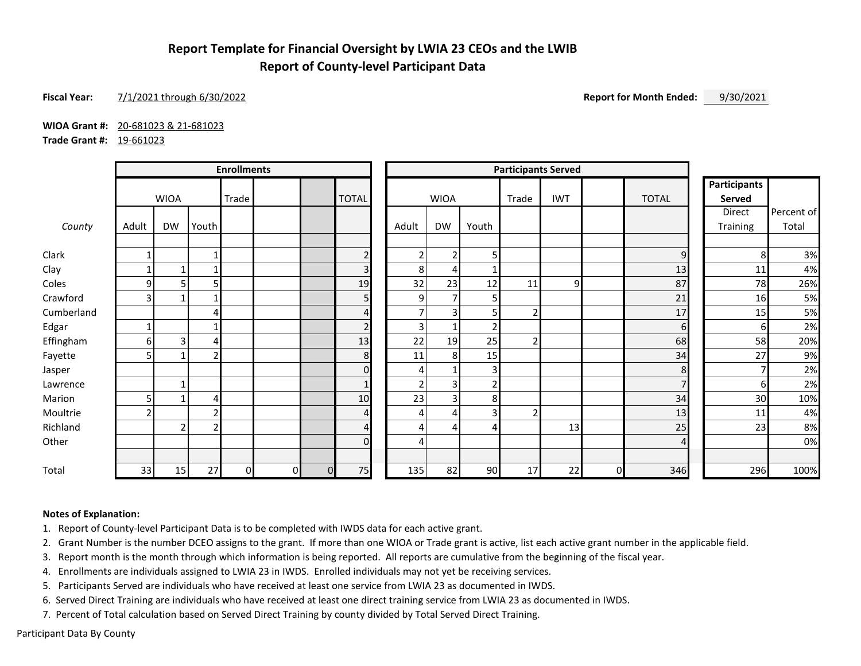## **Report Template for Financial Oversight by LWIA 23 CEOs and the LWIB Report of County-level Participant Data**

### **Fiscal Year:** 7/1/2021 through 6/30/2022 **Report for Month Ended:** 9/30/2021

**WIOA Grant #:** 20-681023 & 21-681023

**Trade Grant #:** 19-661023

|            | <b>Enrollments</b> |                |       |    |              |             | <b>Participants Served</b> |                |                            |                |                               |    |   |                |          |            |
|------------|--------------------|----------------|-------|----|--------------|-------------|----------------------------|----------------|----------------------------|----------------|-------------------------------|----|---|----------------|----------|------------|
|            | <b>WIOA</b>        |                | Trade |    | <b>TOTAL</b> | <b>WIOA</b> |                            | Trade          | <b>IWT</b><br><b>TOTAL</b> |                | <b>Participants</b><br>Served |    |   |                |          |            |
|            |                    |                |       |    |              |             |                            |                |                            |                |                               |    |   |                | Direct   | Percent of |
| County     | Adult              | <b>DW</b>      | Youth |    |              |             |                            | Adult          | <b>DW</b>                  | Youth          |                               |    |   |                | Training | Total      |
| Clark      |                    |                |       |    |              |             | $\overline{2}$             | $\overline{2}$ | $\overline{2}$             | 5              |                               |    |   | 9              | 8        | 3%         |
| Clay       |                    | 1              |       |    |              |             | 3                          | 8              | 4                          |                |                               |    |   | 13             | 11       | 4%         |
| Coles      | 9                  | 5              | 5     |    |              |             | 19                         | 32             | 23                         | 12             | 11                            | 9  |   | 87             | 78       | 26%        |
| Crawford   | 3                  | 1              |       |    |              |             | 5                          | 9              | $\overline{7}$             | 5              |                               |    |   | 21             | 16       | 5%         |
| Cumberland |                    |                | 4     |    |              |             | $\overline{4}$             | 7              | 3                          | 5              |                               |    |   | 17             | 15       | 5%         |
| Edgar      |                    |                |       |    |              |             | $\overline{2}$             | 3 <sup>1</sup> |                            | 2 <sub>1</sub> |                               |    |   | $6 \mid$       | 61       | 2%         |
| Effingham  | 6                  | 3              | 4     |    |              |             | 13                         | 22             | 19                         | 25             | $\overline{2}$                |    |   | 68             | 58       | 20%        |
| Fayette    |                    |                |       |    |              |             | 8                          | 11             | 8 <sup>1</sup>             | 15             |                               |    |   | 34             | 27       | 9%         |
| Jasper     |                    |                |       |    |              |             | $\Omega$                   | 4              |                            | $\overline{3}$ |                               |    |   | 8              |          | 2%         |
| Lawrence   |                    | 1              |       |    |              |             | $\mathbf{1}$               | $\overline{2}$ | 3                          | $\overline{2}$ |                               |    |   | $\overline{7}$ | 61       | 2%         |
| Marion     |                    | 1              | 4     |    |              |             | 10                         | 23             | 3                          | 8              |                               |    |   | 34             | 30       | 10%        |
| Moultrie   |                    |                | D     |    |              |             | $\boldsymbol{\Delta}$      | 4              | 4                          | ς              |                               |    |   | 13             | 11       | 4%         |
| Richland   |                    | $\overline{2}$ | 2     |    |              |             | $\overline{4}$             | 4              | 4                          | 4              |                               | 13 |   | 25             | 23       | 8%         |
| Other      |                    |                |       |    |              |             | $\Omega$                   | 4              |                            |                |                               |    |   | 4              |          | 0%         |
| Total      | 33                 | 15             | 27    | ΩI | $\mathbf{0}$ | $\Omega$    | 75                         | 135            | 82                         | 90             | 17                            | 22 | 0 | 346            | 296      | 100%       |

#### **Notes of Explanation:**

1. Report of County-level Participant Data is to be completed with IWDS data for each active grant.

2. Grant Number is the number DCEO assigns to the grant. If more than one WIOA or Trade grant is active, list each active grant number in the applicable field.

3. Report month is the month through which information is being reported. All reports are cumulative from the beginning of the fiscal year.

4. Enrollments are individuals assigned to LWIA 23 in IWDS. Enrolled individuals may not yet be receiving services.

5. Participants Served are individuals who have received at least one service from LWIA 23 as documented in IWDS.

6. Served Direct Training are individuals who have received at least one direct training service from LWIA 23 as documented in IWDS.

7. Percent of Total calculation based on Served Direct Training by county divided by Total Served Direct Training.

Participant Data By County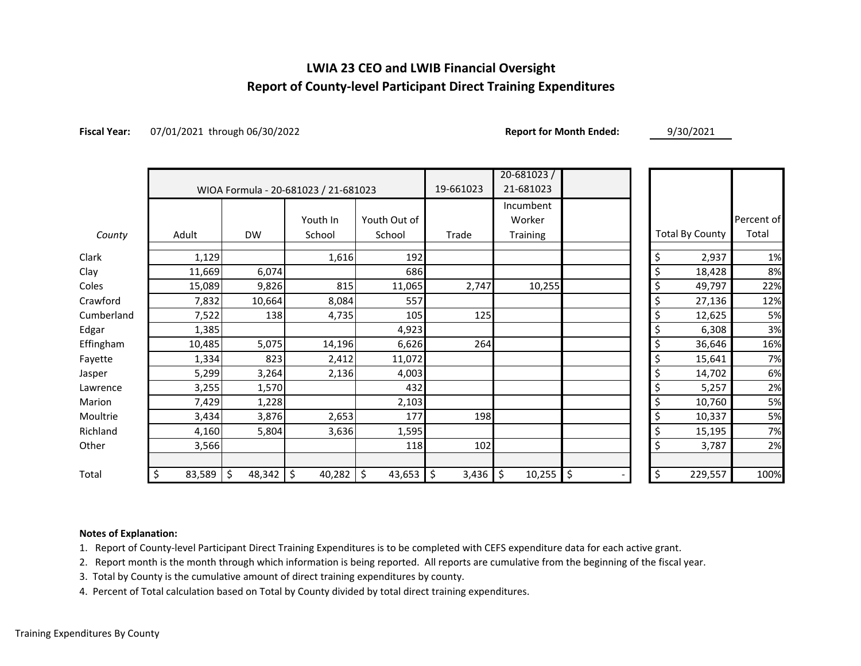# **LWIA 23 CEO and LWIB Financial Oversight Report of County-level Participant Direct Training Expenditures**

**Fiscal Year:** 07/01/2021 through 06/30/2022 **Report for Month Ended:** 9/30/2021

|            |              |              | WIOA Formula - 20-681023 / 21-681023 |              | 19-661023   | $20 - 681023$<br>21-681023 |          |                        |            |
|------------|--------------|--------------|--------------------------------------|--------------|-------------|----------------------------|----------|------------------------|------------|
|            |              |              |                                      |              | Incumbent   |                            |          |                        |            |
|            |              |              | Youth In                             | Youth Out of |             | Worker                     |          |                        | Percent of |
| County     | Adult        | <b>DW</b>    | School                               | School       | Trade       | Training                   |          | <b>Total By County</b> | Total      |
| Clark      | 1,129        |              | 1,616                                | 192          |             |                            | \$       | 2,937                  | 1%         |
| Clay       | 11,669       | 6,074        |                                      | 686          |             |                            | \$       | 18,428                 | 8%         |
| Coles      | 15,089       | 9,826        | 815                                  | 11,065       | 2,747       | 10,255                     | \$       | 49,797                 | 22%        |
| Crawford   | 7,832        | 10,664       | 8,084                                | 557          |             |                            | \$       | 27,136                 | 12%        |
| Cumberland | 7,522        | 138          | 4,735                                | 105          | 125         |                            |          | 12,625                 | 5%         |
| Edgar      | 1,385        |              |                                      | 4,923        |             |                            | \$       | 6,308                  | 3%         |
| Effingham  | 10,485       | 5,075        | 14,196                               | 6,626        | 264         |                            | \$       | 36,646                 | 16%        |
| Fayette    | 1,334        | 823          | 2,412                                | 11,072       |             |                            | \$       | 15,641                 | 7%         |
| Jasper     | 5,299        | 3,264        | 2,136                                | 4,003        |             |                            | \$       | 14,702                 | 6%         |
| Lawrence   | 3,255        | 1,570        |                                      | 432          |             |                            | \$       | 5,257                  | 2%         |
| Marion     | 7,429        | 1,228        |                                      | 2,103        |             |                            | \$       | 10,760                 | 5%         |
| Moultrie   | 3,434        | 3,876        | 2,653                                | 177          | 198         |                            | \$       | 10,337                 | 5%         |
| Richland   | 4,160        | 5,804        | 3,636                                | 1,595        |             |                            | \$       | 15,195                 | 7%         |
| Other      | 3,566        |              |                                      | 118          | 102         |                            | \$       | 3,787                  | 2%         |
|            |              |              |                                      |              |             |                            |          |                        |            |
| Total      | \$<br>83,589 | \$<br>48,342 | \$<br>40,282                         | \$<br>43,653 | \$<br>3,436 | \$<br>10,255               | \$<br>\$ | 229,557                | 100%       |

### **Notes of Explanation:**

1. Report of County-level Participant Direct Training Expenditures is to be completed with CEFS expenditure data for each active grant.

2. Report month is the month through which information is being reported. All reports are cumulative from the beginning of the fiscal year.

3. Total by County is the cumulative amount of direct training expenditures by county.

4. Percent of Total calculation based on Total by County divided by total direct training expenditures.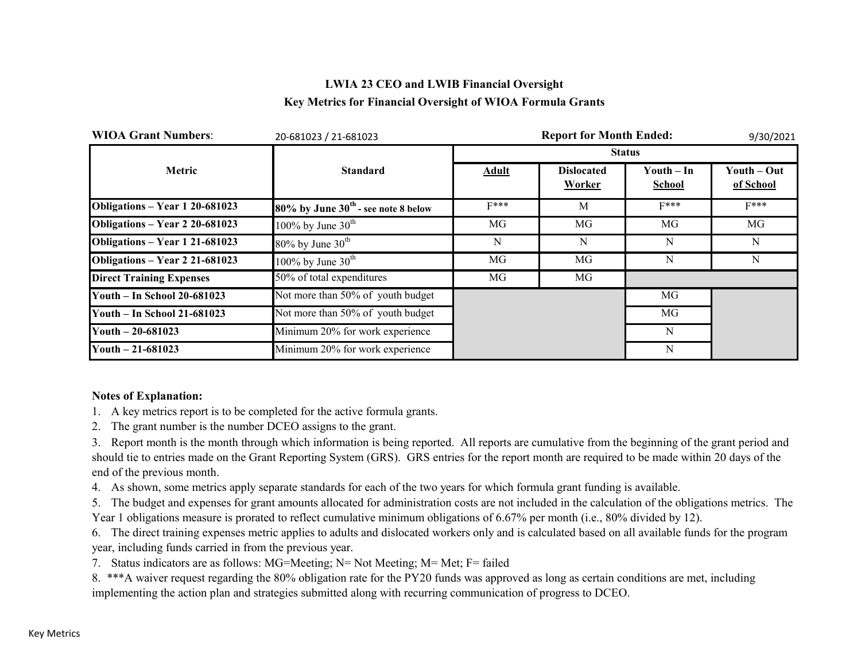## **LWIA 23 CEO and LWIB Financial Oversight Key Metrics for Financial Oversight of WIOA Formula Grants**

| <b>WIOA Grant Numbers:</b>      | 20-681023 / 21-681023                    |              | 9/30/2021                   |                             |                          |
|---------------------------------|------------------------------------------|--------------|-----------------------------|-----------------------------|--------------------------|
|                                 |                                          |              |                             | <b>Status</b>               |                          |
| Metric                          | <b>Standard</b>                          | <b>Adult</b> | <b>Dislocated</b><br>Worker | Youth – In<br><b>School</b> | Youth – Out<br>of School |
| Obligations - Year 1 20-681023  | $80\%$ by June $30th$ - see note 8 below | $F***$       | M                           | $F***$                      | $F***$                   |
| Obligations - Year 2 20-681023  | 100% by June $30^{\text{th}}$            | MG           | MG                          | MG                          | MG                       |
| Obligations - Year 1 21-681023  | $80\%$ by June $30th$                    | N            | N                           | N                           | N                        |
| Obligations - Year 2 21-681023  | 100% by June $30th$                      | MG           | MG                          | N                           | N                        |
| <b>Direct Training Expenses</b> | 50% of total expenditures                | MG           | MG                          |                             |                          |
| Youth - In School 20-681023     | Not more than 50% of youth budget        |              |                             | MG                          |                          |
| Youth - In School 21-681023     | Not more than 50% of youth budget        |              |                             | MG                          |                          |
| Youth $-20-681023$              | Minimum 20% for work experience          |              |                             | N                           |                          |
| Youth $-21-681023$              | Minimum 20% for work experience          |              |                             | N                           |                          |

### **Notes of Explanation:**

- 1. A key metrics report is to be completed for the active formula grants.
- 2. The grant number is the number DCEO assigns to the grant.

3. Report month is the month through which information is being reported. All reports are cumulative from the beginning of the grant period and should tie to entries made on the Grant Reporting System (GRS). GRS entries for the report month are required to be made within 20 days of the end of the previous month.

4. As shown, some metrics apply separate standards for each of the two years for which formula grant funding is available.

5. The budget and expenses for grant amounts allocated for administration costs are not included in the calculation of the obligations metrics. The Year 1 obligations measure is prorated to reflect cumulative minimum obligations of 6.67% per month (i.e., 80% divided by 12).

6. The direct training expenses metric applies to adults and dislocated workers only and is calculated based on all available funds for the program year, including funds carried in from the previous year.

7. Status indicators are as follows: MG=Meeting; N= Not Meeting; M= Met; F= failed

8. \*\*\*A waiver request regarding the 80% obligation rate for the PY20 funds was approved as long as certain conditions are met, including implementing the action plan and strategies submitted along with recurring communication of progress to DCEO.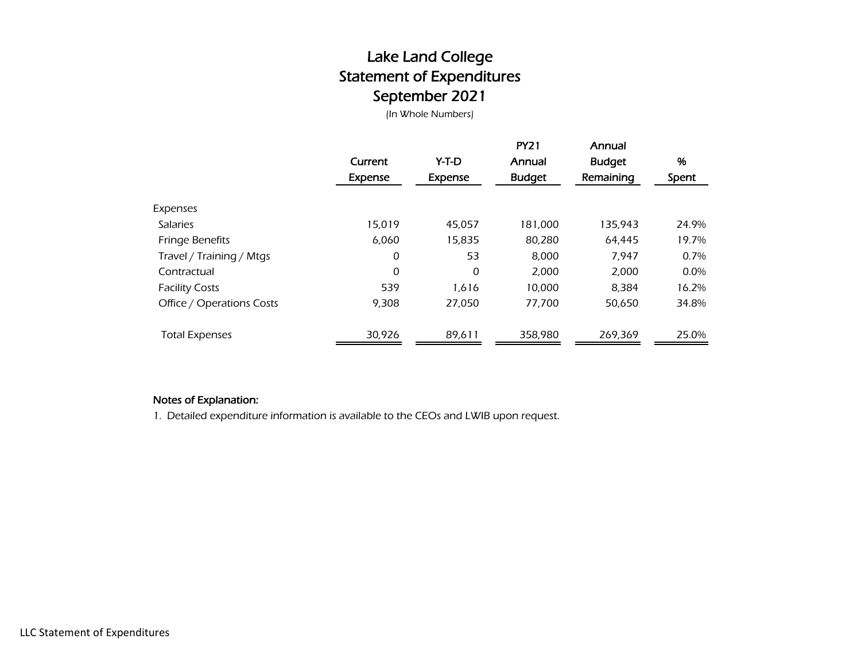# Lake Land College Statement of Expenditures September 2021

(In Whole Numbers)

|                           | Current<br>Expense | Y-T-D<br>Expense | <b>PY21</b><br>Annual<br><b>Budget</b> | Annual<br><b>Budget</b><br>Remaining | %<br>Spent |
|---------------------------|--------------------|------------------|----------------------------------------|--------------------------------------|------------|
| Expenses                  |                    |                  |                                        |                                      |            |
| <b>Salaries</b>           | 15.019             | 45,057           | 181,000                                | 135,943                              | 24.9%      |
| Fringe Benefits           | 6,060              | 15,835           | 80,280                                 | 64.445                               | 19.7%      |
| Travel / Training / Mtgs  | 0                  | 53               | 8,000                                  | 7,947                                | 0.7%       |
| Contractual               | 0                  | 0                | 2,000                                  | 2,000                                | $0.0\%$    |
| <b>Facility Costs</b>     | 539                | 1,616            | 10,000                                 | 8,384                                | 16.2%      |
| Office / Operations Costs | 9,308              | 27,050           | 77,700                                 | 50,650                               | 34.8%      |
| <b>Total Expenses</b>     | 30,926             | 89,611           | 358.980                                | 269,369                              | 25.0%      |

## Notes of Explanation:

1. Detailed expenditure information is available to the CEOs and LWIB upon request.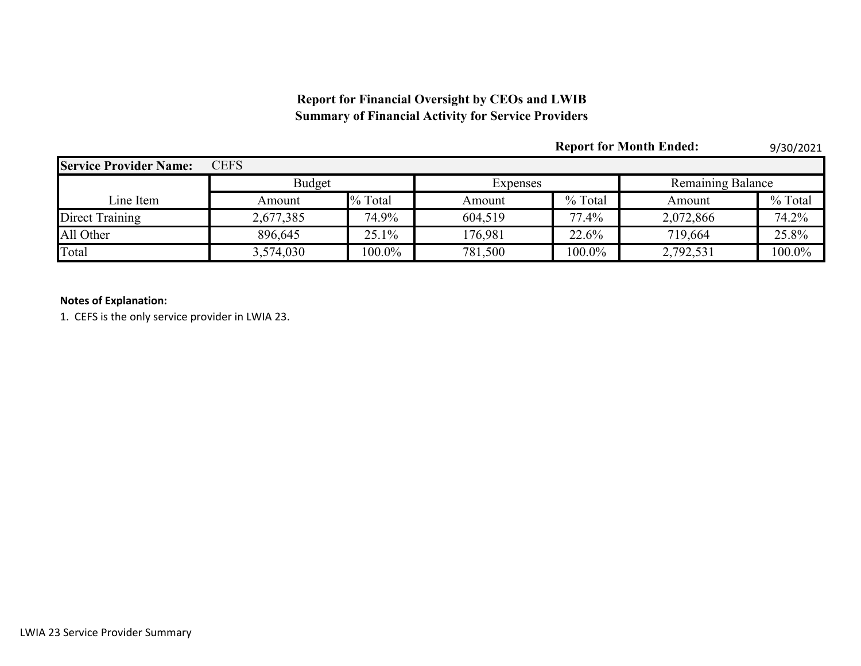## **Report for Financial Oversight by CEOs and LWIB Summary of Financial Activity for Service Providers**

|                               |               |           |          |           | <b>Report for Month Ended:</b> | 9/30/2021 |  |
|-------------------------------|---------------|-----------|----------|-----------|--------------------------------|-----------|--|
| <b>Service Provider Name:</b> | <b>CEFS</b>   |           |          |           |                                |           |  |
|                               | <b>Budget</b> |           | Expenses |           | <b>Remaining Balance</b>       |           |  |
| Line Item                     | Amount        | % Total   | Amount   | % Total   | Amount                         | % Total   |  |
| Direct Training               | 2,677,385     | 74.9%     | 604.519  | 77.4%     | 2,072,866                      | 74.2%     |  |
| All Other                     | 896,645       | 25.1%     | 176,981  | 22.6%     | 719,664                        | 25.8%     |  |
| Total                         | 3,574,030     | $100.0\%$ | 781,500  | $100.0\%$ | 2,792,531                      | 100.0%    |  |

## **Notes of Explanation:**

1. CEFS is the only service provider in LWIA 23.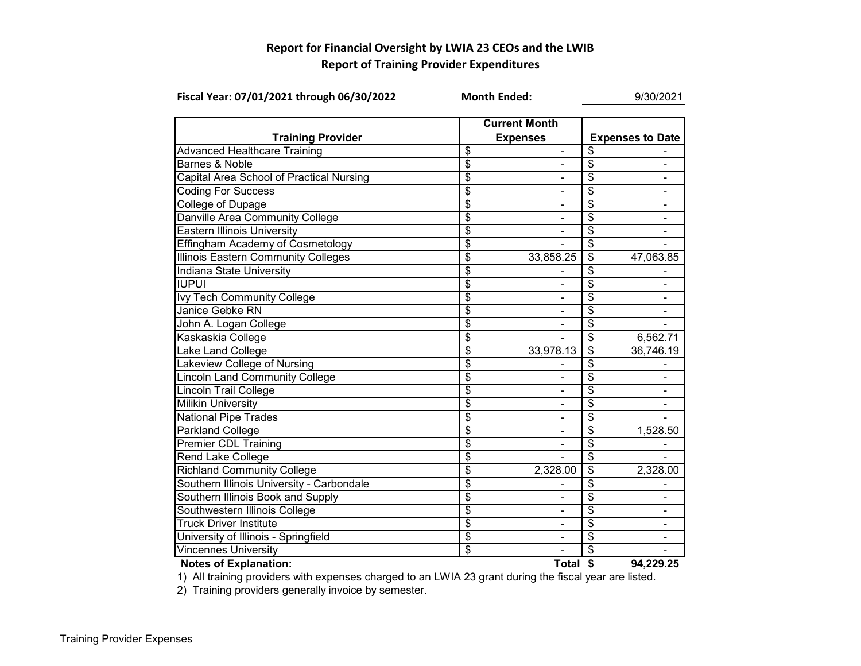## **Report for Financial Oversight by LWIA 23 CEOs and the LWIB Report of Training Provider Expenditures**

| Fiscal Year: 07/01/2021 through 06/30/2022 | <b>Month Ended:</b>                     | 9/30/2021                    |                                  |                         |  |  |
|--------------------------------------------|-----------------------------------------|------------------------------|----------------------------------|-------------------------|--|--|
| <b>Training Provider</b>                   | <b>Current Month</b><br><b>Expenses</b> |                              |                                  | <b>Expenses to Date</b> |  |  |
| <b>Advanced Healthcare Training</b>        | \$                                      | $\qquad \qquad \blacksquare$ | \$                               |                         |  |  |
| <b>Barnes &amp; Noble</b>                  | \$                                      | $\blacksquare$               | \$                               | -                       |  |  |
| Capital Area School of Practical Nursing   | \$                                      | $\blacksquare$               | \$                               | $\blacksquare$          |  |  |
| <b>Coding For Success</b>                  | $\overline{\$}$                         | $\blacksquare$               | $\overline{\$}$                  | $\blacksquare$          |  |  |
| <b>College of Dupage</b>                   | \$                                      |                              | \$                               |                         |  |  |
| Danville Area Community College            | \$                                      |                              | \$                               |                         |  |  |
| <b>Eastern Illinois University</b>         | $\overline{\mathfrak{s}}$               |                              | \$                               |                         |  |  |
| Effingham Academy of Cosmetology           | \$                                      |                              | \$                               |                         |  |  |
| Illinois Eastern Community Colleges        | \$                                      | 33,858.25                    | $\overline{\mathcal{S}}$         | 47,063.85               |  |  |
| Indiana State University                   | \$                                      |                              | \$                               |                         |  |  |
| <b>IUPUI</b>                               | \$                                      |                              | $\overline{\mathcal{S}}$         |                         |  |  |
| Ivy Tech Community College                 | \$                                      | $\blacksquare$               | \$                               |                         |  |  |
| Janice Gebke RN                            | \$                                      | $\frac{1}{2}$                | \$                               |                         |  |  |
| John A. Logan College                      | \$                                      | $\blacksquare$               | \$                               |                         |  |  |
| Kaskaskia College                          | $\overline{\$}$                         |                              | $\overline{\$}$                  | 6,562.71                |  |  |
| <b>Lake Land College</b>                   | \$                                      | 33,978.13                    | $\overline{\boldsymbol{\theta}}$ | 36,746.19               |  |  |
| Lakeview College of Nursing                | \$                                      |                              | \$                               |                         |  |  |
| <b>Lincoln Land Community College</b>      | $\overline{\$}$                         |                              | \$                               |                         |  |  |
| <b>Lincoln Trail College</b>               | \$                                      |                              | \$                               |                         |  |  |
| <b>Milikin University</b>                  | \$                                      |                              | \$                               |                         |  |  |
| <b>National Pipe Trades</b>                | $\overline{\$}$                         |                              | $\overline{\$}$                  |                         |  |  |
| Parkland College                           | $\overline{\$}$                         |                              | $\overline{\$}$                  | 1,528.50                |  |  |
| <b>Premier CDL Training</b>                | \$                                      |                              | \$                               |                         |  |  |
| <b>Rend Lake College</b>                   | $\overline{\mathfrak{s}}$               |                              | $\overline{\mathfrak{s}}$        |                         |  |  |
| <b>Richland Community College</b>          | \$                                      | 2,328.00                     | \$                               | 2,328.00                |  |  |
| Southern Illinois University - Carbondale  | $\overline{\$}$                         |                              | \$                               |                         |  |  |
| Southern Illinois Book and Supply          | $\overline{\mathfrak{s}}$               | $\blacksquare$               | \$                               |                         |  |  |
| Southwestern Illinois College              | \$                                      |                              | \$                               |                         |  |  |
| <b>Truck Driver Institute</b>              | $\overline{\$}$                         |                              | \$                               |                         |  |  |
| University of Illinois - Springfield       | $\overline{\mathcal{S}}$                |                              | \$                               |                         |  |  |
| <b>Vincennes University</b>                | \$                                      |                              | \$                               |                         |  |  |
| <b>Notes of Explanation:</b>               |                                         | Total \$                     |                                  | 94,229.25               |  |  |

1) All training providers with expenses charged to an LWIA 23 grant during the fiscal year are listed.

2) Training providers generally invoice by semester.